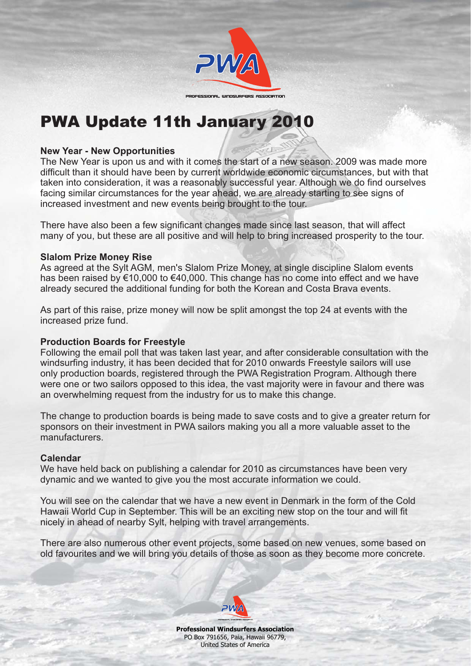

# *PWA Update 11th January 2010*

### **New Year - New Opportunities**

The New Year is upon us and with it comes the start of a new season. 2009 was made more difficult than it should have been by current worldwide economic circumstances, but with that taken into consideration, it was a reasonably successful year. Although we do find ourselves facing similar circumstances for the year ahead, we are already starting to see signs of increased investment and new events being brought to the tour.

There have also been a few significant changes made since last season, that will affect many of you, but these are all positive and will help to bring increased prosperity to the tour.

#### **Slalom Prize Money Rise**

As agreed at the Sylt AGM, men's Slalom Prize Money, at single discipline Slalom events has been raised by €10,000 to €40,000. This change has no come into effect and we have already secured the additional funding for both the Korean and Costa Brava events.

As part of this raise, prize money will now be split amongst the top 24 at events with the increased prize fund.

## **Production Boards for Freestyle**

Following the email poll that was taken last year, and after considerable consultation with the windsurfing industry, it has been decided that for 2010 onwards Freestyle sailors will use only production boards, registered through the PWA Registration Program. Although there were one or two sailors opposed to this idea, the vast majority were in favour and there was an overwhelming request from the industry for us to make this change.

The change to production boards is being made to save costs and to give a greater return for sponsors on their investment in PWA sailors making you all a more valuable asset to the manufacturers.

#### **Calendar**

We have held back on publishing a calendar for 2010 as circumstances have been very dynamic and we wanted to give you the most accurate information we could.

You will see on the calendar that we have a new event in Denmark in the form of the Cold Hawaii World Cup in September. This will be an exciting new stop on the tour and will fit nicely in ahead of nearby Sylt, helping with travel arrangements.

There are also numerous other event projects, some based on new venues, some based on old favourites and we will bring you details of those as soon as they become more concrete.



**Professional Windsurfers Association** PO Box 791656, Paia, Hawaii 96779, United States of America